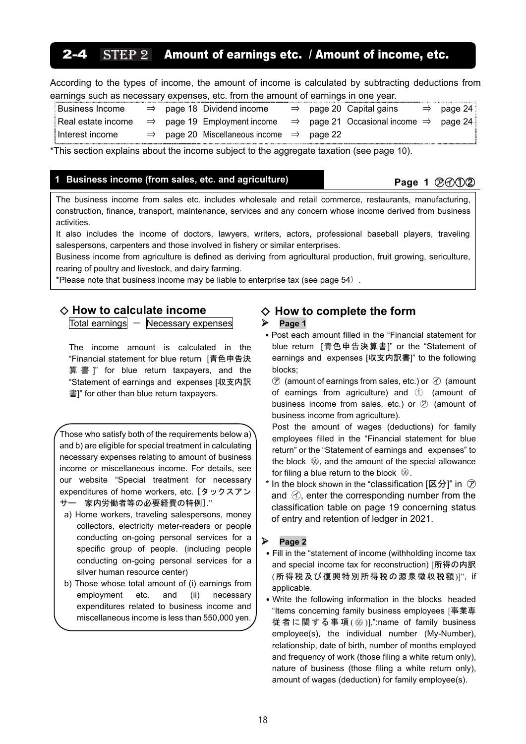# $2 - 4$  STEP 2 Amount of earnings etc. / Amount of income, etc.

According to the types of income, the amount of income is calculated by subtracting deductions from earnings such as necessary expenses, etc. from the amount of earnings in one year.

| <b>Business Income</b> |  | $\Rightarrow$ page 18 Dividend income                                                                 |  | $\Rightarrow$ page 20 Capital gains | $\Rightarrow$ page 24 |
|------------------------|--|-------------------------------------------------------------------------------------------------------|--|-------------------------------------|-----------------------|
| Real estate income     |  | $\Rightarrow$ page 19 Employment income $\Rightarrow$ page 21 Occasional income $\Rightarrow$ page 24 |  |                                     |                       |
| Interest income        |  | $\Rightarrow$ page 20 Miscellaneous income $\Rightarrow$ page 22                                      |  |                                     |                       |

\*This section explains about the income subject to the aggregate taxation (see page 10).

# 1 Business income (from sales, etc. and agriculture) **Page 1 Page 1 P**age 1 **P**

The business income from sales etc. includes wholesale and retail commerce, restaurants, manufacturing, construction, finance, transport, maintenance, services and any concern whose income derived from business activities.

It also includes the income of doctors, lawyers, writers, actors, professional baseball players, traveling salespersons, carpenters and those involved in fishery or similar enterprises.

Business income from agriculture is defined as deriving from agricultural production, fruit growing, sericulture, rearing of poultry and livestock, and dairy farming.

\*Please note that business income may be liable to enterprise tax (see page 54).

### ◇ **How to calculate income**

 $Total earnings - Necessary expenses$ 

The income amount is calculated in the "Financial statement for blue return [青色申告決 算 書 ]" for blue return taxpayers, and the "Statement of earnings and expenses [収支内訳 書]" for other than blue return taxpayers.

Those who satisfy both of the requirements below a) and b) are eligible for special treatment in calculating necessary expenses relating to amount of business income or miscellaneous income. For details, see our website "Special treatment for necessary expenditures of home workers, etc. [タックスアン サー 家内労働者等の必要経費の特例]."

- a) Home workers, traveling salespersons, money collectors, electricity meter-readers or people conducting on-going personal services for a specific group of people. (including people conducting on-going personal services for a silver human resource center)
- b) Those whose total amount of (i) earnings from employment etc. and (ii) necessary expenditures related to business income and miscellaneous income is less than 550,000 yen.

# ◇ **How to complete the form**

### **Page 1**

• Post each amount filled in the "Financial statement for blue return [青色申告決算書]" or the "Statement of earnings and expenses [収支内訳書]" to the following blocks;

 $\circled{2}$  (amount of earnings from sales, etc.) or  $\circled{1}$  (amount of earnings from agriculture) and ① (amount of business income from sales, etc.) or ② (amount of business income from agriculture).

Post the amount of wages (deductions) for family employees filled in the "Financial statement for blue return" or the "Statement of earnings and expenses" to the block 5, and the amount of the special allowance for filing a blue return to the block  $\mathbb{S}$ .

In the block shown in the "classification [区分]" in  $\circledcirc$ and  $\langle \cdot \rangle$ , enter the corresponding number from the classification table on page 19 concerning status of entry and retention of ledger in 2021.

### **Page 2**

- Fill in the "statement of income (withholding income tax and special income tax for reconstruction) [所得の内訳 (所得税及び復興特別所得税の源泉徴収税額)]", if applicable.
- Write the following information in the blocks headed "Items concerning family business employees [事業専 従者に関する事項 ( ⑯ )],":name of family business employee(s), the individual number (My-Number), relationship, date of birth, number of months employed and frequency of work (those filing a white return only), nature of business (those filing a white return only), amount of wages (deduction) for family employee(s).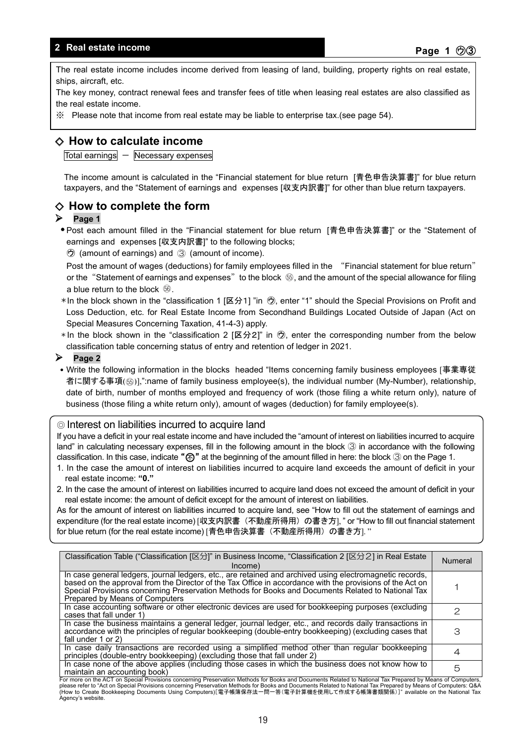## **Real estate income**

The real estate income includes income derived from leasing of land, building, property rights on real estate, ships, aircraft, etc.

The key money, contract renewal fees and transfer fees of title when leasing real estates are also classified as the real estate income.

※ Please note that income from real estate may be liable to enterprise tax.(see page 54).

# ◇ **How to calculate income**

 $\overline{\text{Total earnings}}$   $-$  Necessary expenses

The income amount is calculated in the "Financial statement for blue return [青色申告決算書]" for blue return taxpayers, and the "Statement of earnings and expenses [収支内訳書]" for other than blue return taxpayers.

# ◇ **How to complete the form**

### **Page 1**

● Post each amount filled in the "Financial statement for blue return 「青色申告決算書I" or the "Statement of earnings and expenses [収支内訳書]" to the following blocks;

㋒ (amount of earnings) and ③ (amount of income).

Post the amount of wages (deductions) for family employees filled in the "Financial statement for blue return" or the "Statement of earnings and expenses" to the block  $~\circledS,$  and the amount of the special allowance for filing a blue return to the block  $\mathbb{6}$ .

- \* In the block shown in the "classification 1 [区分1] "in ㋒, enter "1" should the Special Provisions on Profit and Loss Deduction, etc. for Real Estate Income from Secondhand Buildings Located Outside of Japan (Act on Special Measures Concerning Taxation, 41-4-3) apply.
- $*$  In the block shown in the "classification 2 [区分2]" in  $\Theta$ , enter the corresponding number from the below classification table concerning status of entry and retention of ledger in 2021.

### **Page 2**

• Write the following information in the blocks headed "Items concerning family business employees [事業専従 者に関する事項(⑮)],":name of family business employee(s), the individual number (My-Number), relationship, date of birth, number of months employed and frequency of work (those filing a white return only), nature of business (those filing a white return only), amount of wages (deduction) for family employee(s).

### ◎ Interest on liabilities incurred to acquire land

If you have a deficit in your real estate income and have included the "amount of interest on liabilities incurred to acquire land" in calculating necessary expenses, fill in the following amount in the block ③ in accordance with the following classification. In this case, indicate " $\circled{r}$ " at the beginning of the amount filled in here: the block  $\circled{3}$  on the Page 1.

- 1. In the case the amount of interest on liabilities incurred to acquire land exceeds the amount of deficit in your real estate income: **"0."**
- 2. In the case the amount of interest on liabilities incurred to acquire land does not exceed the amount of deficit in your real estate income: the amount of deficit except for the amount of interest on liabilities.

As for the amount of interest on liabilities incurred to acquire land, see "How to fill out the statement of earnings and expenditure (for the real estate income) [収支内訳書(不動産所得用)の書き方], " or "How to fill out financial statement for blue return (for the real estate income) [青色申告決算書(不動産所得用)の書き方]. "

| Classification Table ("Classification [区分]" in Business Income, "Classification 2 [区分2] in Real Estate<br>lncome)                                                                                                                                                                                                                                             | <b>Numeral</b> |
|---------------------------------------------------------------------------------------------------------------------------------------------------------------------------------------------------------------------------------------------------------------------------------------------------------------------------------------------------------------|----------------|
| In case general ledgers, journal ledgers, etc., are retained and archived using electromagnetic records,<br>based on the approval from the Director of the Tax Office in accordance with the provisions of the Act on<br>Special Provisions concerning Preservation Methods for Books and Documents Related to National Tax<br>Prepared by Means of Computers |                |
| In case accounting software or other electronic devices are used for bookkeeping purposes (excluding<br>cases that fall under 1)                                                                                                                                                                                                                              | っ              |
| In case the business maintains a general ledger, journal ledger, etc., and records daily transactions in<br>accordance with the principles of regular bookkeeping (double-entry bookkeeping) (excluding cases that<br>fall under 1 or 2)                                                                                                                      | З              |
| In case daily transactions are recorded using a simplified method other than regular bookkeeping<br>principles (double-entry bookkeeping) (excluding those that fall under 2)                                                                                                                                                                                 | 4              |
| In case none of the above applies (including those cases in which the business does not know how to<br>maintain an accounting book)                                                                                                                                                                                                                           | 5              |
| For more on the ACT on Special Provisions concerning Preservation Methods for Books and Documents Related to National Tax Prepared by Means of Computers,                                                                                                                                                                                                     |                |

please refer to "Act on Special Provisions concerning Preservation Methods for Books and Documents Related to National Tax Prepared by Means of Computers: Q&A please issue Bookkeeping Documents Using Computers)[電子帳簿保存法一問一答(電子計算機を使用して作成する帳簿書類関係)]" available on the National Tax Agency's website.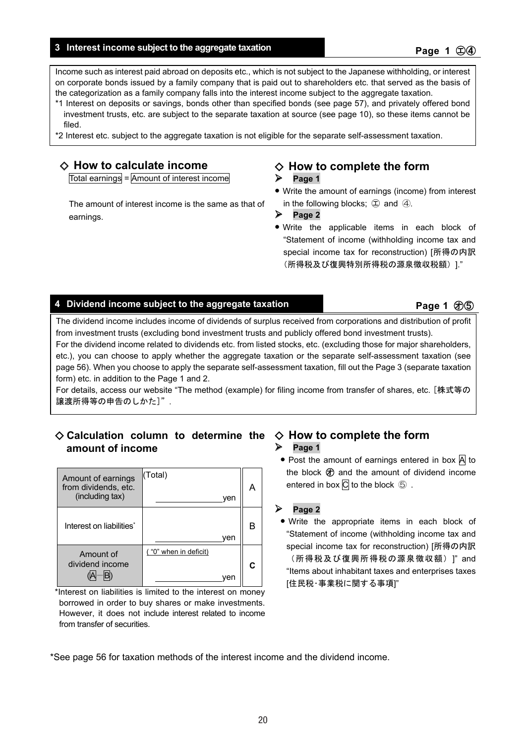### **Interest income subject to the aggregate taxation Page 1 Page 1 Page 1 C**) **Page 1 C**) **Page 1 C**) **Page 1 C**) **Page 1 C**) **Page 1 C**) **Page 1 C**) **Page 1 C**) **Page 1 C**) **Page 1 C**) **Page 1 C**

Income such as interest paid abroad on deposits etc., which is not subject to the Japanese withholding, or interest on corporate bonds issued by a family company that is paid out to shareholders etc. that served as the basis of the categorization as a family company falls into the interest income subject to the aggregate taxation.

- \*1 Interest on deposits or savings, bonds other than specified bonds (see page 57), and privately offered bond investment trusts, etc. are subject to the separate taxation at source (see page 10), so these items cannot be filed.
- \*2 Interest etc. subject to the aggregate taxation is not eligible for the separate self-assessment taxation.

# ◇ **How to calculate income**

Total earnings = Amount of interest income

The amount of interest income is the same as that of earnings.

# ◇ **How to complete the form**

### $\triangleright$  Page 1

- **•** Write the amount of earnings (income) from interest in the following blocks;  $\oplus$  and  $\oplus$ .
- **Page 2**
- **•** Write the applicable items in each block of "Statement of income (withholding income tax and special income tax for reconstruction) [所得の内訳 (所得税及び復興特別所得税の源泉徴収税額)]."

### **4** Dividend income subject to the aggregate taxation **Page 1** Page 1 ①⑤

The dividend income includes income of dividends of surplus received from corporations and distribution of profit from investment trusts (excluding bond investment trusts and publicly offered bond investment trusts).

For the dividend income related to dividends etc. from listed stocks, etc. (excluding those for major shareholders, etc.), you can choose to apply whether the aggregate taxation or the separate self-assessment taxation (see page 56). When you choose to apply the separate self-assessment taxation, fill out the Page 3 (separate taxation form) etc. in addition to the Page 1 and 2.

For details, access our website "The method (example) for filing income from transfer of shares, etc. [株式等の 譲渡所得等の申告のしかた]".

# ◇ **Calculation column to determine the**  ◇ **How to complete the form amount of income**

| Amount of earnings<br>from dividends, etc.<br>(including tax) | (Total)<br>ven               |  |
|---------------------------------------------------------------|------------------------------|--|
| Interest on liabilities*                                      | ven                          |  |
| Amount of<br>dividend income                                  | ("0" when in deficit)<br>ven |  |

\*Interest on liabilities is limited to the interest on money borrowed in order to buy shares or make investments. However, it does not include interest related to income from transfer of securities.

# $\triangleright$  Page 1

• Post the amount of earnings entered in box A to the block  $\bigcircled{)}$  and the amount of dividend income entered in box  $\overline{C}$  to the block  $\odot$ .

### **Page 2**

**•** Write the appropriate items in each block of "Statement of income (withholding income tax and special income tax for reconstruction) [所得の内訳 (所得税及び復興所得税の源泉徴収額)]" and "Items about inhabitant taxes and enterprises taxes [住民税・事業税に関する事項]"

\*See page 56 for taxation methods of the interest income and the dividend income.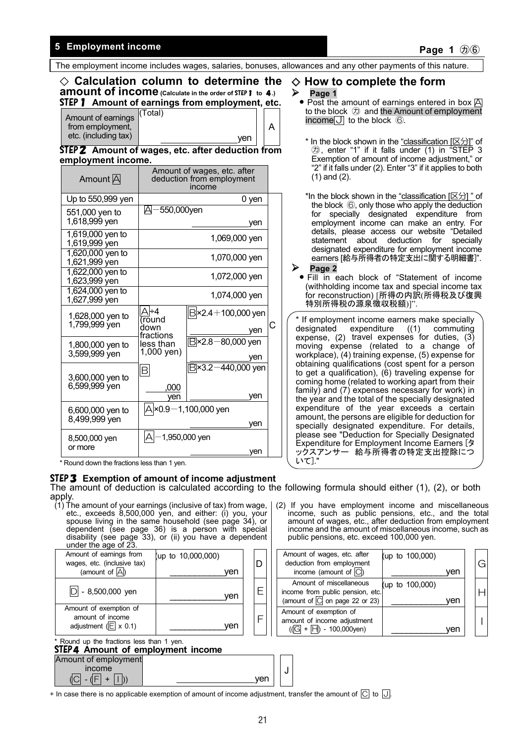# **Finally Semi-findom Employment income** that the control of the control of the control of the control of the control of the control of the control of the control of the control of the control of the control of the control

 $Am<sub>0</sub>$ from etc

The employment income includes wages, salaries, bonuses, allowances and any other payments of this nature.

A

yen

# ◇ **Calculation column to determine the amount of income** (Calculate in the order of STEP 1 to 4.) STEP1 **Amount of earnings from employment, etc.**

| bunt of earnings<br>n employment,<br>(including tax) | (Total) |
|------------------------------------------------------|---------|
|                                                      |         |

STEP2 **Amount of wages, etc. after deduction from employment income.** 

| Amount A                            | Amount of wages, etc. after<br>deduction from employment<br>income |                                    |   |  |  |
|-------------------------------------|--------------------------------------------------------------------|------------------------------------|---|--|--|
| Up to 550,999 yen                   |                                                                    | 0 yen                              |   |  |  |
| 551,000 yen to<br>1,618,999 yen     | 550,000yen<br>A                                                    | ven                                |   |  |  |
| 1,619,000 yen to<br>1,619,999 yen   |                                                                    | 1,069,000 yen                      |   |  |  |
| $1,620,000$ yen to<br>1,621,999 yen |                                                                    | 1,070,000 yen                      |   |  |  |
| 1,622,000 yen to<br>1,623,999 yen   |                                                                    | 1,072,000 yen                      |   |  |  |
| $1,624,000$ yen to<br>1,627,999 yen |                                                                    | 1,074,000 yen                      |   |  |  |
| 1,628,000 yen to<br>1,799,999 yen   | ÷4<br>round<br>down                                                | $B$ ×2.4 + 100,000 yen<br>ven      | С |  |  |
| 1,800,000 yen to<br>3,599,999 yen   | fractions<br>less than<br>1,000 yen)                               | $B \times 2.8 - 80,000$ yen<br>ven |   |  |  |
| 3,600,000 yen to<br>6,599,999 yen   | R<br>,000<br>ven                                                   | $B$ ×3.2 –440,000 yen<br>ven       |   |  |  |
| 6,600,000 yen to<br>8,499,999 yen   |                                                                    | A ×0.9−1,100,000 yen<br>ven        |   |  |  |
| 8,500,000 yen<br>or more            | А                                                                  | 1,950,000 yen<br>ven               |   |  |  |

\* Round down the fractions less than 1 yen.

### STEP3 **Exemption of amount of income adjustment**

The amount of deduction is calculated according to the following formula should either (1), (2), or both apply.

(1) The amount of your earnings (inclusive of tax) from wage, etc., exceeds 8,500,000 yen, and either: (i) you, your spouse living in the same household (see page 34), or dependent (see page 36) is a person with special disability (see page 33), or (ii) you have a dependent under the age of 23.

| Amount of earnings from<br>wages, etc. (inclusive tax)<br>(amount of $\overline{A}$ ) | (up to 10,000,000)<br>ven |  |
|---------------------------------------------------------------------------------------|---------------------------|--|
| $D - 8,500,000$ yen                                                                   | ven                       |  |
| Amount of exemption of<br>amount of income<br>adjustment $(E \times 0.1)$             | ven                       |  |

# \* Round up the fractions less than 1 yen. STEP4 **Amount of employment income**

| sier4 Amount of employment income                   |     |
|-----------------------------------------------------|-----|
| Amount of employment                                |     |
| <b>Income</b>                                       |     |
| $\overline{C}$ - $\overline{F}$ + $\overline{  }$ ) | ven |

# ◇ **How to complete the form**

### $\triangleright$  Page 1

- **Post the amount of earnings entered in box A** to the block  $\circled{D}$  and the Amount of employment income $J$  to the block  $\circledS$ .
	- \* In the block shown in the "classification  $[ $\times$ )]"$  of ㋕, enter "1" if it falls under (1) in "STEP 3 Exemption of amount of income adjustment," or "2" if it falls under (2). Enter "3" if it applies to both (1) and (2).

\*In the block shown in the "classification  $[ $\boxtimes$  2]$ " of the block ⑥, only those who apply the deduction for specially designated expenditure from employment income can make an entry. For details, please access our website "Detailed statement about deduction for specially designated expenditure for employment income earners [給与所得者の特定支出に関する明細書]".

- **Page 2** 
	- **•** Fill in each block of "Statement of income (withholding income tax and special income tax for reconstruction) [所得の内訳(所得税及び復興 特別所得税の源泉徴収税額)]".

(2) If you have employment income and miscellaneous income, such as public pensions, etc., and the total amount of wages, etc., after deduction from employment income and the amount of miscellaneous income, such as public pensions, etc. exceed 100,000 yen.

| Amount of wages, etc. after<br>deduction from employment<br>income (amount of $\overline{C}$ )             | (up to 100,000)<br>ven |  |
|------------------------------------------------------------------------------------------------------------|------------------------|--|
| Amount of miscellaneous<br>income from public pension, etc.<br>(amount of $\overline{C}$ on page 22 or 23) | (up to 100,000)<br>ven |  |
| Amount of exemption of<br>amount of income adjustment<br>$(\sqrt{G} + \overline{H}) - 100,000$ yen)        |                        |  |

 $*$  In case there is no applicable exemption of amount of income adjustment, transfer the amount of  $\overline{C}$  to  $\overline{J}$ .

J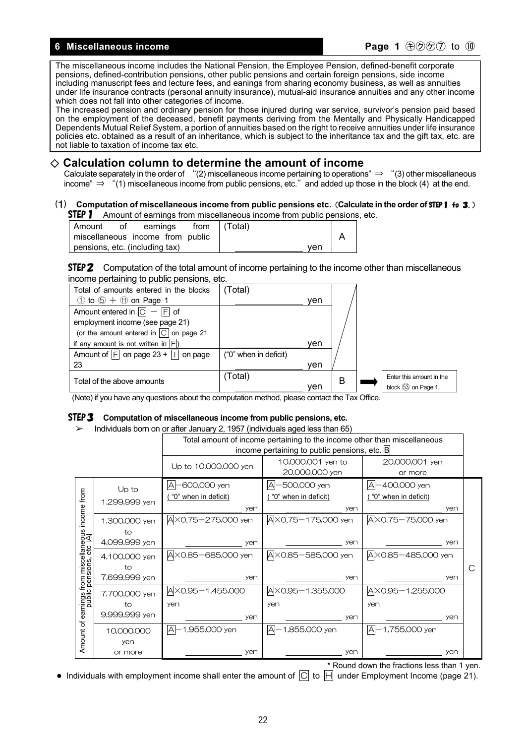### **6** Miscellaneous income **Page 1** ⊕⑦⑦ to ⑩

The miscellaneous income includes the National Pension, the Employee Pension, defined-benefit corporate pensions, defined-contribution pensions, other public pensions and certain foreign pensions, side income including manuscript fees and lecture fees, and eanings from sharing economy business, as well as annuities under life insurance contracts (personal annuity insurance), mutual-aid insurance annuities and any other income which does not fall into other categories of income.

The increased pension and ordinary pension for those injured during war service, survivor's pension paid based on the employment of the deceased, benefit payments deriving from the Mentally and Physically Handicapped Dependents Mutual Relief System, a portion of annuities based on the right to receive annuities under life insurance policies etc. obtained as a result of an inheritance, which is subject to the inheritance tax and the gift tax, etc. are not liable to taxation of income tax etc.

# ◇ **Calculation column to determine the amount of income**

Calculate separately in the order of "(2) miscellaneous income pertaining to operations"  $\Rightarrow$  "(3) other miscellaneous income" ⇒ "(1) miscellaneous income from public pensions, etc."and added up those in the block (4) at the end.

### (1) **Computation of miscellaneous income from public pensions etc.**(**Calculate in the order of** STEP1 to 3.) **STEP 1** Amount of earnings from miscellaneous income from public pensions, etc.

| l Amount                         | ot | earnings |  | from (Total) |     |  |
|----------------------------------|----|----------|--|--------------|-----|--|
| miscellaneous income from public |    |          |  |              |     |  |
| pensions, etc. (including tax)   |    |          |  |              | ven |  |

STEP2 Computation of the total amount of income pertaining to the income other than miscellaneous income pertaining to public pensions, etc.

| Total of amounts entered in the blocks                  | (Total)               |     |   |                          |
|---------------------------------------------------------|-----------------------|-----|---|--------------------------|
| $\circled{1}$ to $\circled{5} + \circled{1}$ on Page 1  |                       | ven |   |                          |
| Amount entered in $\boxed{C}$ – $\boxed{F}$ of          |                       |     |   |                          |
| employment income (see page 21)                         |                       |     |   |                          |
| (or the amount entered in $\boxed{C}$ on page 21        |                       |     |   |                          |
| if any amount is not written in $ F $ )                 |                       | ven |   |                          |
| Amount of $\boxed{F}$ on page 23 + $\boxed{  }$ on page | ("0" when in deficit) |     |   |                          |
| 23                                                      |                       | ven |   |                          |
| Total of the above amounts                              | (Total)               |     | B | Enter this amount in the |
|                                                         |                       | ven |   | block 53 on Page 1.      |

(Note) if you have any questions about the computation method, please contact the Tax Office.

### STEP3 **Computation of miscellaneous income from public pensions, etc.**

➢ Individuals born on or after January 2, 1957 (individuals aged less than 65)

|                                                       | $\frac{1}{2}$ in any ideas bonner on or and our later $\frac{1}{2}$ , noon (in any ideas digital loop than 100)<br>Total amount of income pertaining to the income other than miscellaneous<br>income pertaining to public pensions, etc. B |                                                  |                                                   |                                                       |   |  |  |
|-------------------------------------------------------|---------------------------------------------------------------------------------------------------------------------------------------------------------------------------------------------------------------------------------------------|--------------------------------------------------|---------------------------------------------------|-------------------------------------------------------|---|--|--|
|                                                       |                                                                                                                                                                                                                                             | Up to 10,000,000 yen                             | 10,000,001 yen to<br>20,000,000 yen               | 20,000,001 yen<br>or more                             |   |  |  |
| income from                                           | $Up$ to<br>1,299,999 yen                                                                                                                                                                                                                    | -600,000 yen<br>A<br>"0" when in deficit)<br>yen | -500,000 yen<br>A-<br>"0" when in deficit)<br>yen | A-400,000 yen<br><u>( "0" when in deficit)</u><br>yen |   |  |  |
|                                                       | 1,300,000 yen<br>to<br>4,099,999 yen                                                                                                                                                                                                        | A × 0.75 - 275,000 yen<br>yen                    | AX0.75-175,000 yen<br>yen                         | AX0.75-75,000 yen<br>yen                              |   |  |  |
| earnings from miscellaneous<br>public pensions, etc 囚 | 4,100,000 yen<br>to                                                                                                                                                                                                                         | A × 0.85 - 685,000 yen                           | AX0.85-585,000 yen                                | A × 0.85 - 485,000 yen                                | C |  |  |
|                                                       | 7,699,999 yen<br>7,700,000 yen<br>to                                                                                                                                                                                                        | yen<br>A × 0.95 - 1,455,000<br>yen               | yen<br>A × 0.95 - 1,355,000<br>yen                | yen<br>A×0.95-1,255,000<br>yen                        |   |  |  |
|                                                       | 9,999,999 yen<br>10,000,000                                                                                                                                                                                                                 | yen<br>Α<br>1,955,000 yen                        | yen<br> A <br>1,855,000 yen                       | yen<br>$ A -1,755,000$ yen                            |   |  |  |
| Amount of                                             | yen<br>or more                                                                                                                                                                                                                              | yen                                              | yen                                               | yen                                                   |   |  |  |

\* Round down the fractions less than 1 yen.

• Individuals with employment income shall enter the amount of  $\boxed{C}$  to  $\boxed{H}$  under Employment Income (page 21).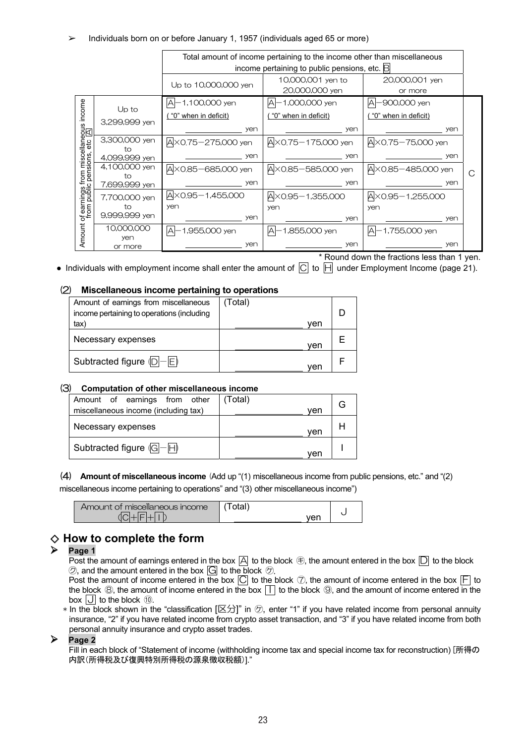### ➢ Individuals born on or before January 1, 1957 (individuals aged 65 or more)

|                                                                         | Total amount of income pertaining to the income other than miscellaneous |                            |                                  |                       |   |
|-------------------------------------------------------------------------|--------------------------------------------------------------------------|----------------------------|----------------------------------|-----------------------|---|
| income pertaining to public pensions, etc. $\mathbb B$                  |                                                                          |                            |                                  |                       |   |
|                                                                         |                                                                          | Up to 10,000,000 yen       | 10,000,001 yen to                | 20,000,001 yen        |   |
|                                                                         |                                                                          |                            | 20,000,000 yen                   | or more               |   |
| income<br>of earnings from miscellaneous<br>from public pensions, etc 因 | Up to                                                                    | A-1,100,000 yen            | A-1,000,000 yen                  | -900,000 yen<br>Α     |   |
|                                                                         |                                                                          | "0" when in deficit)       | "0" when in deficit)             | "0" when in deficit)  |   |
|                                                                         | 3,299,999 yen                                                            | yen                        | yen                              | yen                   |   |
|                                                                         | 3,300,000 yen<br>ŤΩ                                                      | A×0.75-275,000 yen         | A × 0.75 - 175,000 yen           | A × 0.75 - 75,000 yen |   |
|                                                                         | 4,099,999 yen                                                            | yen                        | yen                              | yen                   |   |
|                                                                         | 4,100,000 yen<br>ŤΩ                                                      | A×0.85-685,000 yen         | A×0.85-585,000 yen               | AX0.85-485,000 yen    | С |
|                                                                         | 7,699,999 yen                                                            | yen                        | yen                              | yen                   |   |
|                                                                         | 7,700,000 yen                                                            | A×0.95-1,455,000           | $A \times 0.95 - 1,355,000$      | A×0.95-1,255,000      |   |
|                                                                         | tο                                                                       | yen                        | yen                              | yen                   |   |
|                                                                         | 9,999,999 yen                                                            | yen                        | yen                              | yen                   |   |
| Amount                                                                  | 10,000,000<br>yen                                                        | $\forall$<br>1,955,000 yen | -1,855,000 yen<br>$\overline{A}$ | A<br>1,755,000 yen    |   |
|                                                                         | or more                                                                  | yen                        | yen                              | yen                   |   |
| * Round down the fractions less than 1 yen.                             |                                                                          |                            |                                  |                       |   |

• Individuals with employment income shall enter the amount of  $\overline{C}$  to  $\overline{H}$  under Employment Income (page 21).

### (2) **Miscellaneous income pertaining to operations**

| Amount of earnings from miscellaneous      | (Total) |  |
|--------------------------------------------|---------|--|
| income pertaining to operations (including |         |  |
| tax)                                       | ven     |  |
| Necessary expenses                         | ven     |  |
| Subtracted figure $\langle D  -  E $       | ven     |  |

### (3) **Computation of other miscellaneous income**

| Amount of earnings from other             | (Total) |  |
|-------------------------------------------|---------|--|
| miscellaneous income (including tax)      | ven     |  |
| Necessary expenses                        | ven     |  |
| Subtracted figure $\sqrt{G}-\overline{H}$ | ven     |  |

(4) **Amount of miscellaneous income** (Add up "(1) miscellaneous income from public pensions, etc." and "(2)

miscellaneous income pertaining to operations" and "(3) other miscellaneous income")

| Amount of miscellaneous income | اstal∖      |  |
|--------------------------------|-------------|--|
|                                | ۰٬۵۳<br>וסי |  |

# ◇ **How to complete the form**

### $\triangleright$  Page 1

Post the amount of earnings entered in the box  $\Box$  to the block  $\oplus$ , the amount entered in the box  $\Box$  to the block  $\circled{2}$ , and the amount entered in the box  $\overline{G}$  to the block  $\circled{2}$ .

Post the amount of income entered in the box  $\boxed{\bigcirc}$  to the block  $\boxed{\circ}$ , the amount of income entered in the box  $\boxed{\bigarrow}$  to the block  $\circledR$ , the amount of income entered in the box  $\Pi$  to the block  $\circledR$ , and the amount of income entered in the box  $\overline{J}$  to the block  $\overline{w}$ .

 $*$  In the block shown in the "classification  $[\boxtimes \frac{1}{2}]$ " in  $\oslash$ , enter "1" if you have related income from personal annuity insurance, "2" if you have related income from crypto asset transaction, and "3" if you have related income from both personal annuity insurance and crypto asset trades.

### **Page 2**

Fill in each block of "Statement of income (withholding income tax and special income tax for reconstruction) [所得の 内訳(所得税及び復興特別所得税の源泉徴収税額)]."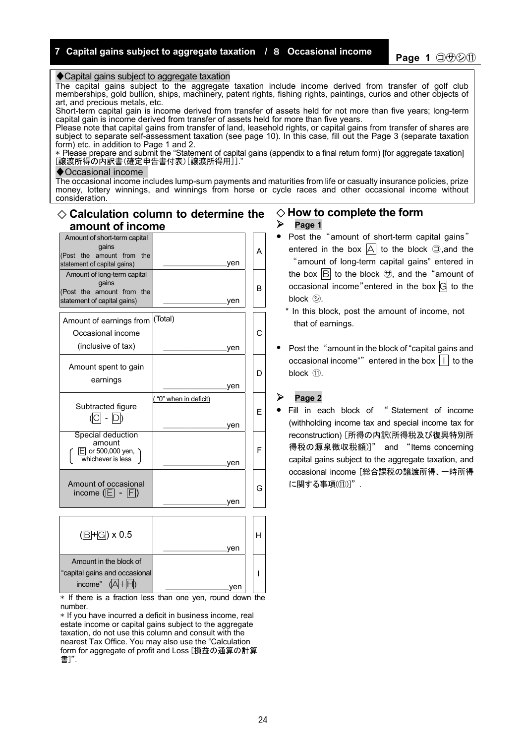### ◆ Capital gains subject to aggregate taxation

The capital gains subject to the aggregate taxation include income derived from transfer of golf club memberships, gold bullion, ships, machinery, patent rights, fishing rights, paintings, curios and other objects of art, and precious metals, etc.

Short-term capital gain is income derived from transfer of assets held for not more than five years; long-term capital gain is income derived from transfer of assets held for more than five years.

Please note that capital gains from transfer of land, leasehold rights, or capital gains from transfer of shares are subject to separate self-assessment taxation (see page 10). In this case, fill out the Page 3 (separate taxation form) etc. in addition to Page 1 and 2.

\* Please prepare and submit the "Statement of capital gains (appendix to a final return form) [for aggregate taxation] [譲渡所得の内訳書(確定申告書付表)[譲渡所得用]]."

### ♦Occasional income

The occasional income includes lump-sum payments and maturities from life or casualty insurance policies, prize money, lottery winnings, and winnings from horse or cycle races and other occasional income without consideration.

# ◇ **Calculation column to determine the amount of income**

| Amount of short-term capital<br>qains<br>(Post the amount from the<br>statement of capital gains) | ven                         | А |
|---------------------------------------------------------------------------------------------------|-----------------------------|---|
| Amount of long-term capital<br>qains<br>(Post the amount from the<br>statement of capital gains)  | <u>yen</u>                  | в |
| Amount of earnings from<br>Occasional income<br>(inclusive of tax)                                | (Total)<br>ven              | C |
| Amount spent to gain<br>earnings                                                                  | ven                         | D |
| Subtracted figure<br>(C - D)                                                                      | "0" when in deficit)<br>ven | E |
| Special deduction<br>amount<br>$E$ or 500,000 yen, )<br>whichever is less                         | yen                         | F |
| Amount of occasional<br>income $(E - F)$                                                          | yen                         | G |

| $(\boxed{\text{B} + \text{G}}) \times 0.5$ |     |  |
|--------------------------------------------|-----|--|
|                                            | ven |  |
| Amount in the block of                     |     |  |
| "capital gains and occasional              |     |  |
| income"                                    | 'er |  |

 $*$  If there is a fraction less than one ven, round down the number.

\* If you have incurred a deficit in business income, real estate income or capital gains subject to the aggregate taxation, do not use this column and consult with the nearest Tax Office. You may also use the "Calculation ……<br>form for aggregate of profit and Loss [損益の通算の計算 書]".

### ◇ **How to complete the form Page 1**

- Post the "amount of short-term capital gains" entered in the box  $\overline{A}$  to the block  $\supseteq$ , and the "amount of long-term capital gains" entered in the box  $\left| \mathbf{B} \right|$  to the block  $\Theta$ , and the "amount of occasional income" entered in the box  $\overline{G}$  to the
	- \* In this block, post the amount of income, not that of earnings.
- Post the "amount in the block of "capital gains and occasional income"" entered in the box  $|1|$  to the block ⑪.

### **Page 2**

block  $\mathcal{D}$ .

**•** Fill in each block of " Statement of income (withholding income tax and special income tax for reconstruction) [所得の内訳(所得税及び復興特別所 得税の源泉徴収税額)]" and "Items concerning capital gains subject to the aggregate taxation, and occasional income [総合課税の譲渡所得、一時所得 に関する事項(⑪)]".